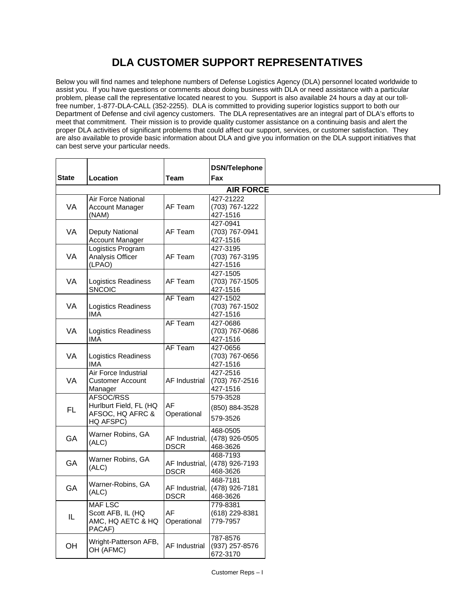## **DLA CUSTOMER SUPPORT REPRESENTATIVES**

Below you will find names and telephone numbers of Defense Logistics Agency (DLA) personnel located worldwide to assist you. If you have questions or comments about doing business with DLA or need assistance with a particular problem, please call the representative located nearest to you. Support is also available 24 hours a day at our tollfree number, 1-877-DLA-CALL (352-2255). DLA is committed to providing superior logistics support to both our Department of Defense and civil agency customers. The DLA representatives are an integral part of DLA's efforts to meet that commitment. Their mission is to provide quality customer assistance on a continuing basis and alert the proper DLA activities of significant problems that could affect our support, services, or customer satisfaction. They are also available to provide basic information about DLA and give you information on the DLA support initiatives that can best serve your particular needs.

|                  |                                                                      |                                 | <b>DSN/Telephone</b>                    |
|------------------|----------------------------------------------------------------------|---------------------------------|-----------------------------------------|
| <b>State</b>     | Location                                                             | Team                            | Fax                                     |
| <b>AIR FORCE</b> |                                                                      |                                 |                                         |
| VA               | Air Force National<br><b>Account Manager</b><br>(NAM)                | AF Team                         | 427-21222<br>(703) 767-1222<br>427-1516 |
| VA               | Deputy National<br><b>Account Manager</b>                            | AF Team                         | 427-0941<br>(703) 767-0941<br>427-1516  |
| VA               | Logistics Program<br>Analysis Officer<br>(LPAO)                      | AF Team                         | 427-3195<br>(703) 767-3195<br>427-1516  |
| VA               | Logistics Readiness<br><b>SNCOIC</b>                                 | AF Team                         | 427-1505<br>(703) 767-1505<br>427-1516  |
| VA               | Logistics Readiness<br><b>IMA</b>                                    | AF Team                         | 427-1502<br>(703) 767-1502<br>427-1516  |
| VA               | Logistics Readiness<br><b>IMA</b>                                    | <b>AF Team</b>                  | 427-0686<br>(703) 767-0686<br>427-1516  |
| VA               | Logistics Readiness<br><b>IMA</b>                                    | AF Team                         | 427-0656<br>(703) 767-0656<br>427-1516  |
| VA               | Air Force Industrial<br><b>Customer Account</b><br>Manager           | AF Industrial                   | 427-2516<br>(703) 767-2516<br>427-1516  |
| FL               | AFSOC/RSS<br>Hurlburt Field, FL (HQ<br>AFSOC, HQ AFRC &<br>HQ AFSPC) | AF<br>Operational               | 579-3528<br>(850) 884-3528<br>579-3526  |
| GA               | Warner Robins, GA<br>(ALC)                                           | AF Industrial,<br><b>DSCR</b>   | 468-0505<br>(478) 926-0505<br>468-3626  |
| GA               | Warner Robins, GA<br>(ALC)                                           | AF Industrial, I<br><b>DSCR</b> | 468-7193<br>(478) 926-7193<br>468-3626  |
| GA               | Warner-Robins, GA<br>(ALC)                                           | AF Industrial,<br><b>DSCR</b>   | 468-7181<br>(478) 926-7181<br>468-3626  |
| IL               | <b>MAF LSC</b><br>Scott AFB, IL (HQ<br>AMC, HQ AETC & HQ<br>PACAF)   | AF<br>Operational               | 779-8381<br>(618) 229-8381<br>779-7957  |
| OH               | Wright-Patterson AFB,<br>OH (AFMC)                                   | <b>AF Industrial</b>            | 787-8576<br>(937) 257-8576<br>672-3170  |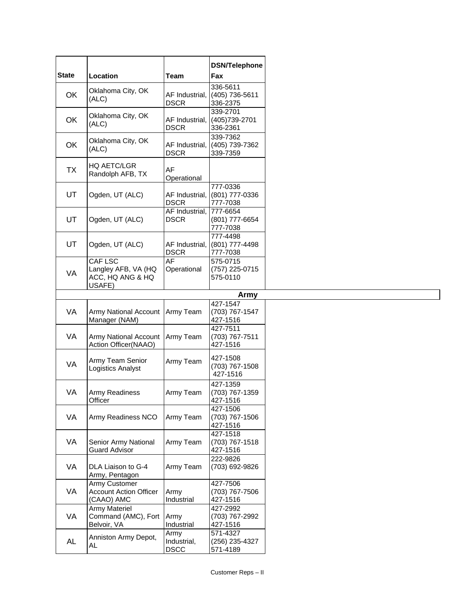| <b>State</b> | Location                                      | Team                          | <b>DSN/Telephone</b><br>Fax |
|--------------|-----------------------------------------------|-------------------------------|-----------------------------|
|              |                                               |                               |                             |
| OK           | Oklahoma City, OK                             | AF Industrial,                | 336-5611<br>(405) 736-5611  |
|              | (ALC)                                         | <b>DSCR</b>                   | 336-2375                    |
|              |                                               |                               | 339-2701                    |
| OK           | Oklahoma City, OK<br>(ALC)                    | AF Industrial,                | (405) 739-2701              |
|              |                                               | <b>DSCR</b>                   | 336-2361                    |
|              | Oklahoma City, OK                             |                               | 339-7362                    |
| OK           | (ALC)                                         | AF Industrial,<br><b>DSCR</b> | (405) 739-7362<br>339-7359  |
|              |                                               |                               |                             |
| <b>TX</b>    | <b>HQ AETC/LGR</b>                            | AF                            |                             |
|              | Randolph AFB, TX                              | Operational                   |                             |
|              |                                               |                               | 777-0336                    |
| UT           | Ogden, UT (ALC)                               | AF Industrial,                | (801) 777-0336              |
|              |                                               | <b>DSCR</b>                   | 777-7038                    |
| UT           | Ogden, UT (ALC)                               | AF Industrial,<br><b>DSCR</b> | 777-6654<br>(801) 777-6654  |
|              |                                               |                               | 777-7038                    |
|              |                                               |                               | 777-4498                    |
| UT           | Ogden, UT (ALC)                               | AF Industrial,                | (801) 777-4498              |
|              |                                               | <b>DSCR</b>                   | 777-7038                    |
|              | <b>CAF LSC</b>                                | AF                            | 575-0715                    |
| VA           | Langley AFB, VA (HQ<br>ACC, HQ ANG & HQ       | Operational                   | (757) 225-0715              |
|              | USAFE)                                        |                               | 575-0110                    |
|              |                                               |                               | Army                        |
|              |                                               |                               | 427-1547                    |
| VA           | <b>Army National Account</b>                  | Army Team                     | (703) 767-1547              |
|              | Manager (NAM)                                 |                               | 427-1516                    |
|              |                                               |                               | 427-7511                    |
| VA           | Army National Account<br>Action Officer(NAAO) | Army Team                     | (703) 767-7511<br>427-1516  |
|              |                                               |                               |                             |
| VA           | Army Team Senior                              | Army Team                     | 427-1508                    |
|              | Logistics Analyst                             |                               | (703) 767-1508<br>427-1516  |
|              |                                               |                               |                             |
| VA           | Army Readiness                                | Army Team                     | 427-1359<br>(703) 767-1359  |
|              | Officer                                       |                               | 427-1516                    |
|              |                                               |                               | 427-1506                    |
| VA           | Army Readiness NCO                            | Army Team                     | (703) 767-1506              |
|              |                                               |                               | 427-1516                    |
|              | Senior Army National<br><b>Guard Advisor</b>  | Army Team                     | 427-1518                    |
| VA           |                                               |                               | (703) 767-1518<br>427-1516  |
|              |                                               |                               | 222-9826                    |
| VA           | DLA Liaison to G-4                            | Army Team                     | (703) 692-9826              |
|              | Army, Pentagon                                |                               |                             |
|              | Army Customer                                 |                               | 427-7506                    |
| VA           | <b>Account Action Officer</b>                 | Army                          | (703) 767-7506              |
|              | (CAAO) AMC<br><b>Army Materiel</b>            | Industrial                    | 427-1516<br>427-2992        |
| VA           | Command (AMC), Fort                           | Army                          | (703) 767-2992              |
|              | Belvoir, VA                                   | Industrial                    | 427-1516                    |
|              | Anniston Army Depot,                          | Army                          | 571-4327                    |
| <b>AL</b>    | AL                                            | Industrial,                   | (256) 235-4327              |
|              |                                               | <b>DSCC</b>                   | 571-4189                    |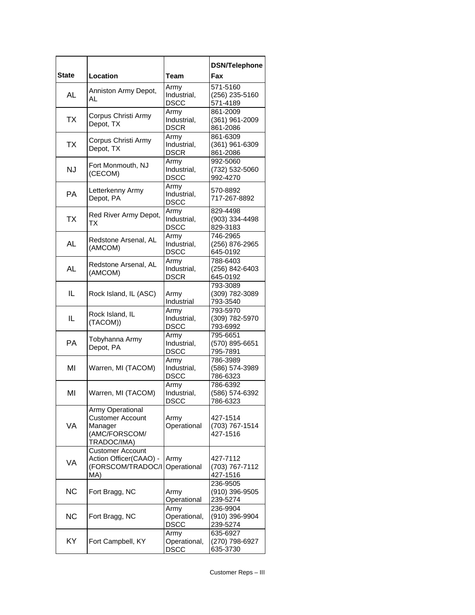| <b>State</b> | Location                                                                               | Team                                | <b>DSN/Telephone</b><br>Fax            |
|--------------|----------------------------------------------------------------------------------------|-------------------------------------|----------------------------------------|
|              |                                                                                        |                                     |                                        |
| AL           | Anniston Army Depot,<br>AL                                                             | Army<br>Industrial,<br><b>DSCC</b>  | 571-5160<br>(256) 235-5160<br>571-4189 |
| TX           | Corpus Christi Army<br>Depot, TX                                                       | Army<br>Industrial,<br><b>DSCR</b>  | 861-2009<br>(361) 961-2009<br>861-2086 |
| <b>TX</b>    | Corpus Christi Army<br>Depot, TX                                                       | Army<br>Industrial,<br><b>DSCR</b>  | 861-6309<br>(361) 961-6309<br>861-2086 |
| <b>NJ</b>    | Fort Monmouth, NJ<br>(CECOM)                                                           | Army<br>Industrial,<br><b>DSCC</b>  | 992-5060<br>(732) 532-5060<br>992-4270 |
| <b>PA</b>    | Letterkenny Army<br>Depot, PA                                                          | Army<br>Industrial,<br><b>DSCC</b>  | 570-8892<br>717-267-8892               |
| <b>TX</b>    | Red River Army Depot,<br>ТΧ                                                            | Army<br>Industrial,<br><b>DSCC</b>  | 829-4498<br>(903) 334-4498<br>829-3183 |
| <b>AL</b>    | Redstone Arsenal, AL<br>(AMCOM)                                                        | Army<br>Industrial,<br><b>DSCC</b>  | 746-2965<br>(256) 876-2965<br>645-0192 |
| AL           | Redstone Arsenal, AL<br>(AMCOM)                                                        | Army<br>Industrial,<br><b>DSCR</b>  | 788-6403<br>(256) 842-6403<br>645-0192 |
| IL           | Rock Island, IL (ASC)                                                                  | Army<br>Industrial                  | 793-3089<br>(309) 782-3089<br>793-3540 |
| IL           | Rock Island, IL<br>(TACOM))                                                            | Army<br>Industrial,<br><b>DSCC</b>  | 793-5970<br>(309) 782-5970<br>793-6992 |
| РA           | Tobyhanna Army<br>Depot, PA                                                            | Army<br>Industrial,<br><b>DSCC</b>  | 795-6651<br>(570) 895-6651<br>795-7891 |
| MI           | Warren, MI (TACOM)                                                                     | Army<br>Industrial,<br><b>DSCC</b>  | 786-3989<br>(586) 574-3989<br>786-6323 |
| MI           | Warren, MI (TACOM)                                                                     | Army<br>Industrial,<br><b>DSCC</b>  | 786-6392<br>(586) 574-6392<br>786-6323 |
| VA           | Army Operational<br><b>Customer Account</b><br>Manager<br>(AMC/FORSCOM/<br>TRADOC/IMA) | Army<br>Operational                 | 427-1514<br>(703) 767-1514<br>427-1516 |
| VA           | <b>Customer Account</b><br>Action Officer(CAAO) -<br>(FORSCOM/TRADOC/I<br>MA)          | Army<br>Operational                 | 427-7112<br>(703) 767-7112<br>427-1516 |
| NC           | Fort Bragg, NC                                                                         | Army<br>Operational                 | 236-9505<br>(910) 396-9505<br>239-5274 |
| <b>NC</b>    | Fort Bragg, NC                                                                         | Army<br>Operational,<br><b>DSCC</b> | 236-9904<br>(910) 396-9904<br>239-5274 |
| KY.          | Fort Campbell, KY                                                                      | Army<br>Operational,<br><b>DSCC</b> | 635-6927<br>(270) 798-6927<br>635-3730 |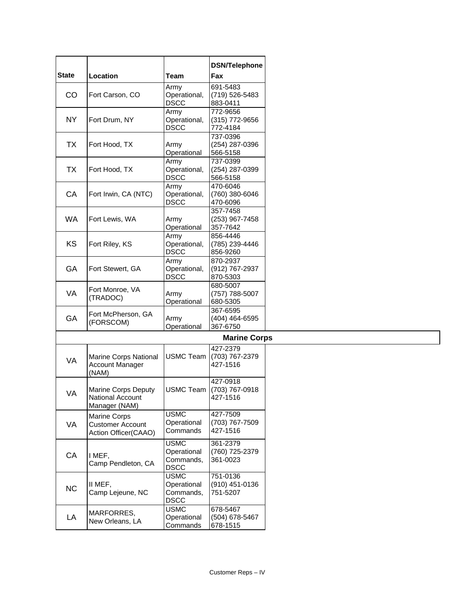|              |                                 |                      | <b>DSN/Telephone</b>       |
|--------------|---------------------------------|----------------------|----------------------------|
| <b>State</b> | Location                        | Team                 | Fax                        |
|              |                                 |                      |                            |
| CO           | Fort Carson, CO                 | Army<br>Operational, | 691-5483<br>(719) 526-5483 |
|              |                                 | <b>DSCC</b>          | 883-0411                   |
|              |                                 | Army                 | 772-9656                   |
| <b>NY</b>    | Fort Drum, NY                   | Operational,         | (315) 772-9656             |
|              |                                 | <b>DSCC</b>          | 772-4184                   |
|              |                                 |                      | 737-0396                   |
| <b>TX</b>    | Fort Hood, TX                   | Army                 | (254) 287-0396             |
|              |                                 | Operational          | 566-5158                   |
|              |                                 | Army                 | 737-0399                   |
| <b>TX</b>    | Fort Hood, TX                   | Operational,         | (254) 287-0399             |
|              |                                 | <b>DSCC</b>          | 566-5158                   |
| CA           | Fort Irwin, CA (NTC)            | Army<br>Operational, | 470-6046<br>(760) 380-6046 |
|              |                                 | <b>DSCC</b>          | 470-6096                   |
|              |                                 |                      | 357-7458                   |
| <b>WA</b>    | Fort Lewis, WA                  | Army                 | (253) 967-7458             |
|              |                                 | Operational          | 357-7642                   |
|              |                                 | Army                 | 856-4446                   |
| KS           | Fort Riley, KS                  | Operational,         | (785) 239-4446             |
|              |                                 | DSCC                 | 856-9260                   |
| GA           | Fort Stewert, GA                | Army                 | 870-2937                   |
|              |                                 | Operational,         | (912) 767-2937             |
|              |                                 | DSCC                 | 870-5303                   |
|              | Fort Monroe, VA                 |                      | 680-5007                   |
| VA           | (TRADOC)                        | Army                 | (757) 788-5007             |
|              |                                 | Operational          | 680-5305<br>367-6595       |
| GA           | Fort McPherson, GA              | Army                 | (404) 464-6595             |
|              | (FORSCOM)                       | Operational          | 367-6750                   |
|              |                                 |                      | <b>Marine Corps</b>        |
|              |                                 |                      |                            |
|              |                                 |                      | 427-2379                   |
| VA           | Marine Corps National           | <b>USMC Team</b>     | (703) 767-2379             |
|              | <b>Account Manager</b><br>(NAM) |                      | 427-1516                   |
|              |                                 |                      | 427-0918                   |
|              | <b>Marine Corps Deputy</b>      | <b>USMC Team</b>     | (703) 767-0918             |
| VA           | <b>National Account</b>         |                      | 427-1516                   |
|              | Manager (NAM)                   |                      |                            |
|              | Marine Corps                    | <b>USMC</b>          | 427-7509                   |
| VA           | <b>Customer Account</b>         | Operational          | (703) 767-7509             |
|              | Action Officer(CAAO)            | Commands             | 427-1516                   |
|              |                                 | <b>USMC</b>          | 361-2379                   |
|              |                                 | Operational          | (760) 725-2379             |
| CA           | I MEF,                          | Commands,            | 361-0023                   |
|              | Camp Pendleton, CA              | <b>DSCC</b>          |                            |
|              |                                 | <b>USMC</b>          | 751-0136                   |
|              | II MEF,                         | Operational          | (910) 451-0136             |
| NC           | Camp Lejeune, NC                | Commands,            | 751-5207                   |
|              |                                 | DSCC                 |                            |
|              | MARFORRES,                      | <b>USMC</b>          | 678-5467                   |
| LA           | New Orleans, LA                 | Operational          | (504) 678-5467             |
|              |                                 | Commands             | 678-1515                   |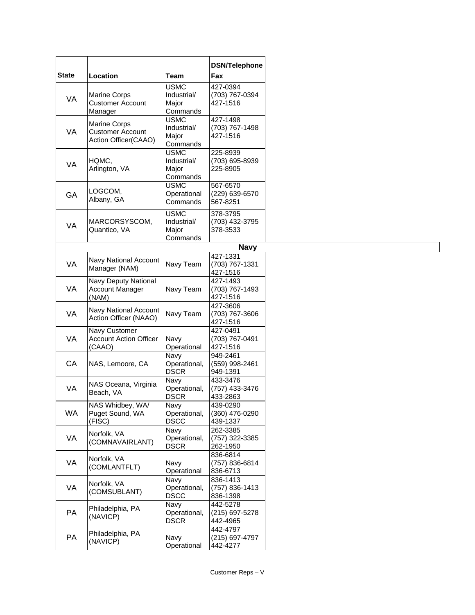|              |                                                                        |                                                 | <b>DSN/Telephone</b>                   |
|--------------|------------------------------------------------------------------------|-------------------------------------------------|----------------------------------------|
| <b>State</b> | Location                                                               | <b>Team</b>                                     | Fax                                    |
| VA           | <b>Marine Corps</b><br><b>Customer Account</b><br>Manager              | <b>USMC</b><br>Industrial/<br>Major<br>Commands | 427-0394<br>(703) 767-0394<br>427-1516 |
| VA           | <b>Marine Corps</b><br><b>Customer Account</b><br>Action Officer(CAAO) | <b>USMC</b><br>Industrial/<br>Major<br>Commands | 427-1498<br>(703) 767-1498<br>427-1516 |
| VA           | HQMC,<br>Arlington, VA                                                 | <b>USMC</b><br>Industrial/<br>Major<br>Commands | 225-8939<br>(703) 695-8939<br>225-8905 |
| GA           | LOGCOM,<br>Albany, GA                                                  | <b>USMC</b><br>Operational<br>Commands          | 567-6570<br>(229) 639-6570<br>567-8251 |
| VA           | MARCORSYSCOM,<br>Quantico, VA                                          | <b>USMC</b><br>Industrial/<br>Major<br>Commands | 378-3795<br>(703) 432-3795<br>378-3533 |
|              |                                                                        |                                                 | <b>Navy</b>                            |
| VA           | <b>Navy National Account</b><br>Manager (NAM)                          | Navy Team                                       | 427-1331<br>(703) 767-1331<br>427-1516 |
| VA           | Navy Deputy National<br><b>Account Manager</b><br>(NAM)                | Navy Team                                       | 427-1493<br>(703) 767-1493<br>427-1516 |
| VA           | Navy National Account<br>Action Officer (NAAO)                         | Navy Team                                       | 427-3606<br>(703) 767-3606<br>427-1516 |
| <b>VA</b>    | Navy Customer<br><b>Account Action Officer</b><br>(CAAO)               | Navy<br>Operational                             | 427-0491<br>(703) 767-0491<br>427-1516 |
| CA           | NAS, Lemoore, CA                                                       | Navy<br>Operational,<br><b>DSCR</b>             | 949-2461<br>(559) 998-2461<br>949-1391 |
| VA           | NAS Oceana, Virginia<br>Beach, VA                                      | Navy<br>Operational,<br><b>DSCR</b>             | 433-3476<br>(757) 433-3476<br>433-2863 |
| <b>WA</b>    | NAS Whidbey, WA/<br>Puget Sound, WA<br>(FISC)                          | Navy<br>Operational,<br><b>DSCC</b>             | 439-0290<br>(360) 476-0290<br>439-1337 |
| VA           | Norfolk, VA<br>(COMNAVAIRLANT)                                         | Navy<br>Operational,<br><b>DSCR</b>             | 262-3385<br>(757) 322-3385<br>262-1950 |
| VA           | Norfolk, VA<br>(COMLANTFLT)                                            | Navy<br>Operational                             | 836-6814<br>(757) 836-6814<br>836-6713 |
| VA           | Norfolk, VA<br>(COMSUBLANT)                                            | Navy<br>Operational,<br><b>DSCC</b>             | 836-1413<br>(757) 836-1413<br>836-1398 |
| PA           | Philadelphia, PA<br>(NAVICP)                                           | Navy<br>Operational,<br><b>DSCR</b>             | 442-5278<br>(215) 697-5278<br>442-4965 |
| PA           | Philadelphia, PA<br>(NAVICP)                                           | Navy<br>Operational                             | 442-4797<br>(215) 697-4797<br>442-4277 |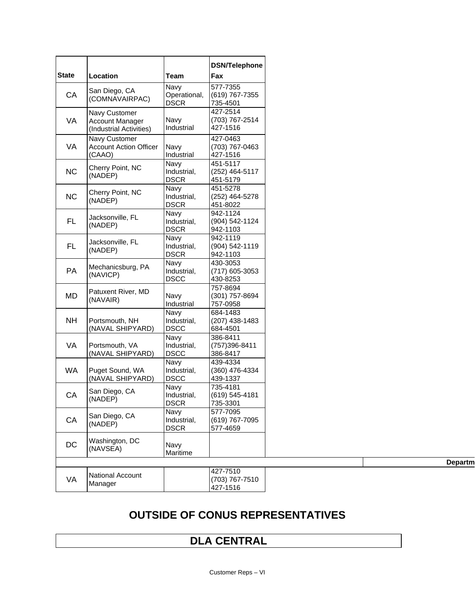| Location<br>Team<br>Navy<br>San Diego, CA<br>CA<br>Operational,<br>(COMNAVAIRPAC)<br><b>DSCR</b> | 577-7355<br>(619) 767-7355<br>735-4501<br>427-2514<br>(703) 767-2514 |
|--------------------------------------------------------------------------------------------------|----------------------------------------------------------------------|
|                                                                                                  |                                                                      |
|                                                                                                  |                                                                      |
| Navy Customer                                                                                    |                                                                      |
| Navy<br>VA<br><b>Account Manager</b><br>Industrial<br>(Industrial Activities)                    | 427-1516                                                             |
| Navy Customer                                                                                    | 427-0463                                                             |
| VA<br><b>Account Action Officer</b><br>Navy<br>(CAAO)<br>Industrial                              | (703) 767-0463<br>427-1516                                           |
| Navy<br>Cherry Point, NC                                                                         | 451-5117                                                             |
| <b>NC</b><br>Industrial,<br>(NADEP)<br><b>DSCR</b>                                               | (252) 464-5117<br>451-5179                                           |
| Navy<br>Cherry Point, NC                                                                         | 451-5278                                                             |
| <b>NC</b><br>Industrial,<br>(NADEP)                                                              | (252) 464-5278                                                       |
| <b>DSCR</b><br>Navy                                                                              | 451-8022<br>942-1124                                                 |
| Jacksonville, FL<br><b>FL</b><br>Industrial,                                                     | (904) 542-1124                                                       |
| (NADEP)<br><b>DSCR</b>                                                                           | 942-1103                                                             |
| Navy<br>Jacksonville, FL                                                                         | 942-1119                                                             |
| <b>FL</b><br>Industrial,<br>(NADEP)<br><b>DSCR</b>                                               | (904) 542-1119<br>942-1103                                           |
| Navy                                                                                             | 430-3053                                                             |
| Mechanicsburg, PA<br><b>PA</b><br>Industrial,                                                    | (717) 605-3053                                                       |
| (NAVICP)<br><b>DSCC</b>                                                                          | 430-8253                                                             |
| Patuxent River, MD                                                                               | 757-8694                                                             |
| <b>MD</b><br>Navy<br>(NAVAIR)                                                                    | (301) 757-8694                                                       |
| Industrial<br>Navy                                                                               | 757-0958<br>684-1483                                                 |
| NΗ<br>Industrial,<br>Portsmouth, NH                                                              | (207) 438-1483                                                       |
| (NAVAL SHIPYARD)<br><b>DSCC</b>                                                                  | 684-4501                                                             |
| Navy                                                                                             | 386-8411                                                             |
| VA<br>Portsmouth, VA<br>Industrial,                                                              | (757)396-8411                                                        |
| (NAVAL SHIPYARD)<br><b>DSCC</b>                                                                  | 386-8417                                                             |
| Navy<br><b>WA</b><br>Industrial,<br>Puget Sound, WA                                              | 439-4334<br>(360) 476-4334                                           |
| (NAVAL SHIPYARD)<br><b>DSCC</b>                                                                  | 439-1337                                                             |
| Navy                                                                                             | 735-4181                                                             |
| San Diego, CA<br>CA<br>Industrial,                                                               | (619) 545-4181                                                       |
| (NADEP)<br><b>DSCR</b>                                                                           | 735-3301                                                             |
| Navy<br>San Diego, CA                                                                            | 577-7095                                                             |
| CA<br>Industrial,<br>(NADEP)                                                                     | (619) 767-7095                                                       |
| <b>DSCR</b>                                                                                      | 577-4659                                                             |
| Washington, DC<br>DC<br>Navy                                                                     |                                                                      |
| (NAVSEA)<br>Maritime                                                                             |                                                                      |
|                                                                                                  |                                                                      |
| National Account                                                                                 | 427-7510                                                             |
| VA<br>Manager                                                                                    | (703) 767-7510                                                       |

| 1<br>П<br>ı |
|-------------|
|-------------|

## **OUTSIDE OF CONUS REPRESENTATIVES**

## **DLA CENTRAL**

427-1516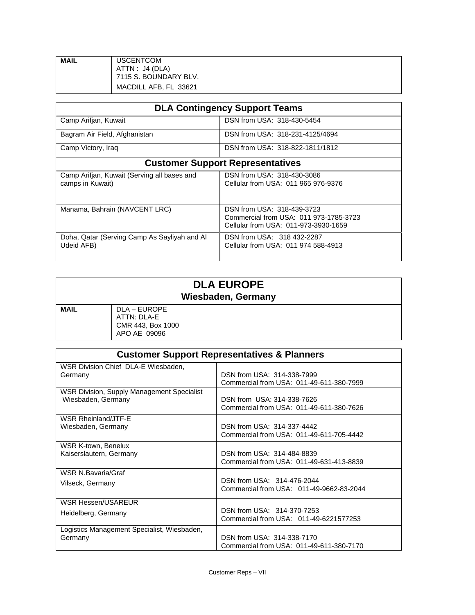| <b>MAIL</b> | <b>USCENTCOM</b>      |
|-------------|-----------------------|
|             | ATTN : J4 (DLA)       |
|             | 7115 S. BOUNDARY BLV. |
|             | MACDILL AFB, FL 33621 |

| <b>DLA Contingency Support Teams</b>                            |                                                                                                              |  |
|-----------------------------------------------------------------|--------------------------------------------------------------------------------------------------------------|--|
| Camp Arifjan, Kuwait                                            | DSN from USA: 318-430-5454                                                                                   |  |
| Bagram Air Field, Afghanistan                                   | DSN from USA: 318-231-4125/4694                                                                              |  |
| Camp Victory, Iraq                                              | DSN from USA: 318-822-1811/1812                                                                              |  |
| <b>Customer Support Representatives</b>                         |                                                                                                              |  |
| Camp Arifjan, Kuwait (Serving all bases and<br>camps in Kuwait) | DSN from USA: 318-430-3086<br>Cellular from USA: 011 965 976-9376                                            |  |
| Manama, Bahrain (NAVCENT LRC)                                   | DSN from USA: 318-439-3723<br>Commercial from USA: 011 973-1785-3723<br>Cellular from USA: 011-973-3930-1659 |  |
| Doha, Qatar (Serving Camp As Sayliyah and Al<br>Udeid AFB)      | DSN from USA: 318 432-2287<br>Cellular from USA: 011 974 588-4913                                            |  |

| <b>DLA EUROPE</b><br><b>Wiesbaden, Germany</b> |                                                                  |  |
|------------------------------------------------|------------------------------------------------------------------|--|
| <b>MAIL</b>                                    | DLA – EUROPE<br>ATTN: DLA-E<br>CMR 443, Box 1000<br>APO AE 09096 |  |

| <b>Customer Support Representatives &amp; Planners</b> |                                          |  |
|--------------------------------------------------------|------------------------------------------|--|
| WSR Division Chief DLA-E Wiesbaden.                    | DSN from USA: 314-338-7999               |  |
| Germany                                                | Commercial from USA: 011-49-611-380-7999 |  |
| <b>WSR Division, Supply Management Specialist</b>      | DSN from USA: 314-338-7626               |  |
| Wiesbaden, Germany                                     | Commercial from USA: 011-49-611-380-7626 |  |
| <b>WSR Rheinland/JTF-E</b>                             | DSN from USA: 314-337-4442               |  |
| Wiesbaden, Germany                                     | Commercial from USA: 011-49-611-705-4442 |  |
| WSR K-town, Benelux                                    | DSN from USA: 314-484-8839               |  |
| Kaiserslautern, Germany                                | Commercial from USA: 011-49-631-413-8839 |  |
| WSR N.Bavaria/Graf                                     | DSN from USA: 314-476-2044               |  |
| Vilseck, Germany                                       | Commercial from USA: 011-49-9662-83-2044 |  |
| <b>WSR Hessen/USAREUR</b>                              | DSN from USA: 314-370-7253               |  |
| Heidelberg, Germany                                    | Commercial from USA: 011-49-6221577253   |  |
| Logistics Management Specialist, Wiesbaden,            | DSN from USA: 314-338-7170               |  |
| Germany                                                | Commercial from USA: 011-49-611-380-7170 |  |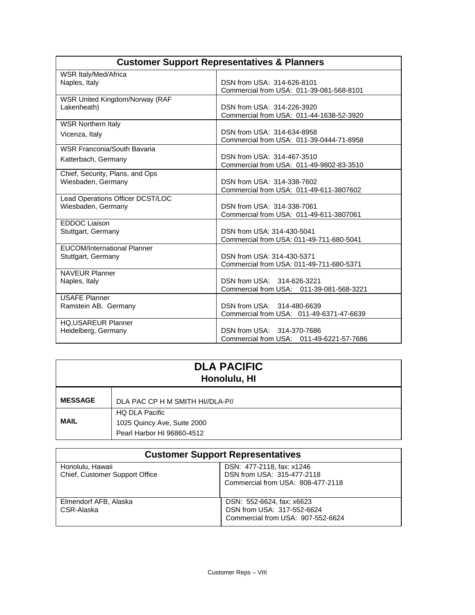| <b>Customer Support Representatives &amp; Planners</b> |                                          |  |
|--------------------------------------------------------|------------------------------------------|--|
| WSR Italy/Med/Africa                                   |                                          |  |
| Naples, Italy                                          | DSN from USA: 314-626-8101               |  |
|                                                        | Commercial from USA: 011-39-081-568-8101 |  |
| WSR United Kingdom/Norway (RAF                         |                                          |  |
| Lakenheath)                                            | DSN from USA: 314-226-3920               |  |
|                                                        | Commercial from USA: 011-44-1638-52-3920 |  |
| <b>WSR Northern Italy</b>                              |                                          |  |
| Vicenza, Italy                                         | DSN from USA: 314-634-8958               |  |
|                                                        | Commercial from USA: 011-39-0444-71-8958 |  |
| WSR Franconia/South Bavaria                            |                                          |  |
| Katterbach, Germany                                    | DSN from USA: 314-467-3510               |  |
|                                                        | Commercial from USA: 011-49-9802-83-3510 |  |
| Chief, Security, Plans, and Ops                        | DSN from USA: 314-338-7602               |  |
| Wiesbaden, Germany                                     | Commercial from USA: 011-49-611-3807602  |  |
| Lead Operations Officer DCST/LOC                       |                                          |  |
| Wiesbaden, Germany                                     | DSN from USA: 314-338-7061               |  |
|                                                        | Commercial from USA: 011-49-611-3807061  |  |
| <b>EDDOC Liaison</b>                                   |                                          |  |
| Stuttgart, Germany                                     | DSN from USA: 314-430-5041               |  |
|                                                        | Commercial from USA: 011-49-711-680-5041 |  |
| <b>EUCOM/International Planner</b>                     |                                          |  |
| Stuttgart, Germany                                     | DSN from USA: 314-430-5371               |  |
|                                                        | Commercial from USA: 011-49-711-680-5371 |  |
| <b>NAVEUR Planner</b>                                  |                                          |  |
| Naples, Italy                                          | DSN from USA: 314-626-3221               |  |
|                                                        | Commercial from USA: 011-39-081-568-3221 |  |
| <b>USAFE Planner</b>                                   |                                          |  |
| Ramstein AB, Germany                                   | DSN from USA: 314-480-6639               |  |
|                                                        | Commercial from USA: 011-49-6371-47-6639 |  |
| <b>HQ,USAREUR Planner</b>                              |                                          |  |
| Heidelberg, Germany                                    | DSN from USA: 314-370-7686               |  |
|                                                        | Commercial from USA: 011-49-6221-57-7686 |  |

| <b>DLA PACIFIC</b><br>Honolulu, HI |                                                                                    |  |  |
|------------------------------------|------------------------------------------------------------------------------------|--|--|
| <b>MESSAGE</b>                     | DLA PAC CP H M SMITH HI//DLA-P//                                                   |  |  |
| <b>MAIL</b>                        | <b>HQ DLA Pacific</b><br>1025 Quincy Ave, Suite 2000<br>Pearl Harbor HI 96860-4512 |  |  |

| <b>Customer Support Representatives</b>            |                                                                                              |  |  |  |
|----------------------------------------------------|----------------------------------------------------------------------------------------------|--|--|--|
| Honolulu, Hawaii<br>Chief, Customer Support Office | DSN: 477-2118, fax: x1246<br>DSN from USA: 315-477-2118<br>Commercial from USA: 808-477-2118 |  |  |  |
| Elmendorf AFB, Alaska<br>CSR-Alaska                | DSN: 552-6624, fax: x6623<br>DSN from USA: 317-552-6624<br>Commercial from USA: 907-552-6624 |  |  |  |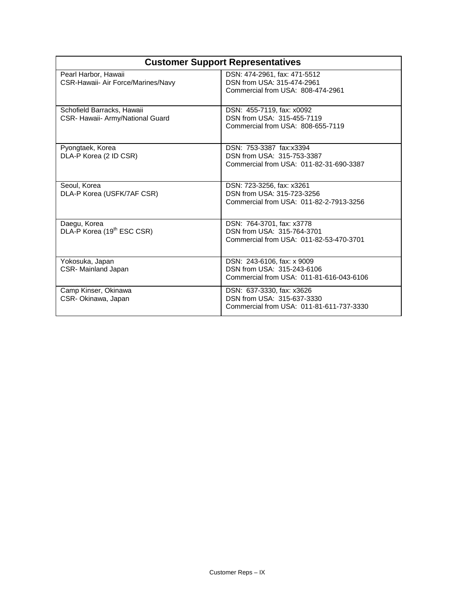| <b>Customer Support Representatives</b>                        |                                                                                                      |  |  |
|----------------------------------------------------------------|------------------------------------------------------------------------------------------------------|--|--|
| Pearl Harbor, Hawaii<br>CSR-Hawaii- Air Force/Marines/Navy     | DSN: 474-2961, fax: 471-5512<br>DSN from USA: 315-474-2961<br>Commercial from USA: 808-474-2961      |  |  |
| Schofield Barracks, Hawaii<br>CSR- Hawaii- Army/National Guard | DSN: 455-7119, fax: x0092<br>DSN from USA: 315-455-7119<br>Commercial from USA: 808-655-7119         |  |  |
| Pyongtaek, Korea<br>DLA-P Korea (2 ID CSR)                     | DSN: 753-3387 fax:x3394<br>DSN from USA: 315-753-3387<br>Commercial from USA: 011-82-31-690-3387     |  |  |
| Seoul, Korea<br>DLA-P Korea (USFK/7AF CSR)                     | DSN: 723-3256, fax: x3261<br>DSN from USA: 315-723-3256<br>Commercial from USA: 011-82-2-7913-3256   |  |  |
| Daegu, Korea<br>DLA-P Korea (19 <sup>th</sup> ESC CSR)         | DSN: 764-3701, fax: x3778<br>DSN from USA: 315-764-3701<br>Commercial from USA: 011-82-53-470-3701   |  |  |
| Yokosuka, Japan<br>CSR- Mainland Japan                         | DSN: 243-6106, fax: x 9009<br>DSN from USA: 315-243-6106<br>Commercial from USA: 011-81-616-043-6106 |  |  |
| Camp Kinser, Okinawa<br>CSR- Okinawa, Japan                    | DSN: 637-3330, fax: x3626<br>DSN from USA: 315-637-3330<br>Commercial from USA: 011-81-611-737-3330  |  |  |